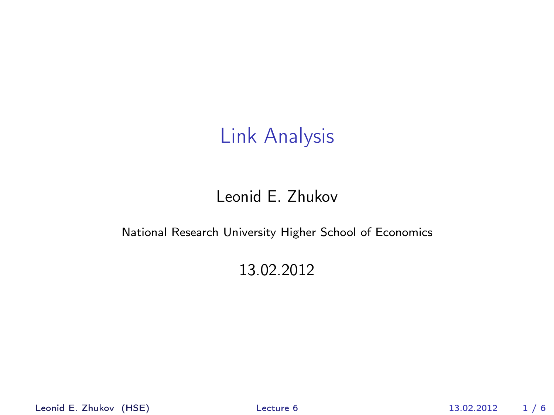#### Leonid E. Zhukov

#### National Research University Higher School of Economics

#### <span id="page-0-0"></span>13.02.2012

Leonid E. Zhukov (HSE) [Lecture 6](#page-5-0) 13.02.2012 1 / 6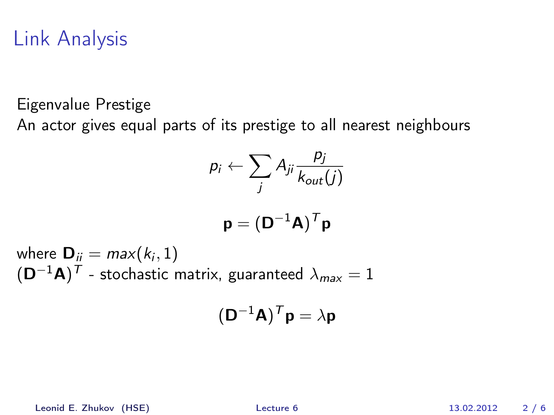Eigenvalue Prestige

An actor gives equal parts of its prestige to all nearest neighbours

$$
p_i \leftarrow \sum_j A_{ji} \frac{p_j}{k_{out}(j)}
$$

$$
\mathbf{p} = (\mathbf{D}^{-1}\mathbf{A})^T\mathbf{p}
$$

where  $\mathbf{D}_{ii} = max(k_i, 1)$  $(\mathsf{D}^{-1}\mathsf{A})^{\mathsf{T}}$  – stochastic matrix, guaranteed  $\lambda_{\mathsf{max}} = 1$ 

$$
(\mathbf{D}^{-1}\mathbf{A})^T \mathbf{p} = \lambda \mathbf{p}
$$

Leonid E. Zhukov (HSE) [Lecture 6](#page-0-0) 13.02.2012 2 / 6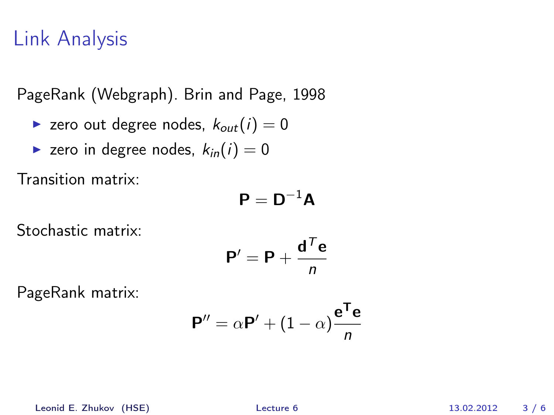PageRank (Webgraph). Brin and Page, 1998

**Exerc** out degree nodes,  $k_{out}(i) = 0$ 

$$
\blacktriangleright
$$
 zero in degree nodes,  $k_{in}(i) = 0$ 

Transition matrix:

$$
\mathbf{P}=\mathbf{D}^{-1}\mathbf{A}
$$

Stochastic matrix:

$$
\mathbf{P}' = \mathbf{P} + \frac{\mathbf{d}^T \mathbf{e}}{n}
$$

PageRank matrix:

$$
\mathbf{P}'' = \alpha \mathbf{P}' + (1 - \alpha) \frac{\mathbf{e}^{\mathsf{T}} \mathbf{e}}{n}
$$

Leonid E. Zhukov (HSE) [Lecture 6](#page-0-0) 13.02.2012 3 / 6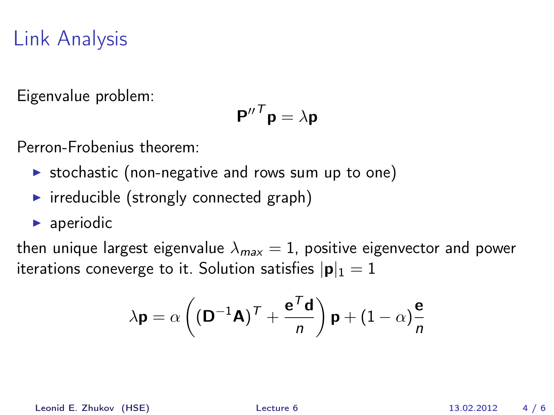Eigenvalue problem:

$$
{\bm P''}^T {\bm p} = \lambda {\bm p}
$$

Perron-Frobenius theorem:

- $\triangleright$  stochastic (non-negative and rows sum up to one)
- $\triangleright$  irreducible (strongly connected graph)
- $\blacktriangleright$  aperiodic

then unique largest eigenvalue  $\lambda_{max} = 1$ , positive eigenvector and power iterations coneverge to it. Solution satisfies  $|\mathbf{p}|_1 = 1$ 

$$
\lambda \mathbf{p} = \alpha \left( \left( \mathbf{D}^{-1} \mathbf{A} \right)^{\mathsf{T}} + \frac{\mathbf{e}^{\mathsf{T}} \mathbf{d}}{n} \right) \mathbf{p} + \left( 1 - \alpha \right) \frac{\mathbf{e}}{n}
$$

Leonid E. Zhukov (HSE) [Lecture 6](#page-0-0) 13.02.2012 4 / 6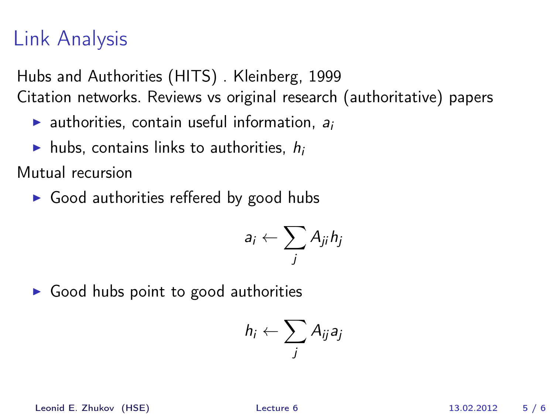Hubs and Authorities (HITS) . Kleinberg, 1999 Citation networks. Reviews vs original research (authoritative) papers

- **Example 2** authorities, contain useful information,  $a_i$
- In hubs, contains links to authorities,  $h_i$

Mutual recursion

 $\triangleright$  Good authorities reffered by good hubs

$$
a_i \leftarrow \sum_j A_{ji} h_j
$$

 $\triangleright$  Good hubs point to good authorities

$$
h_i \leftarrow \sum_j A_{ij} a_j
$$

Leonid E. Zhukov (HSE) [Lecture 6](#page-0-0) 13.02.2012 5 / 6